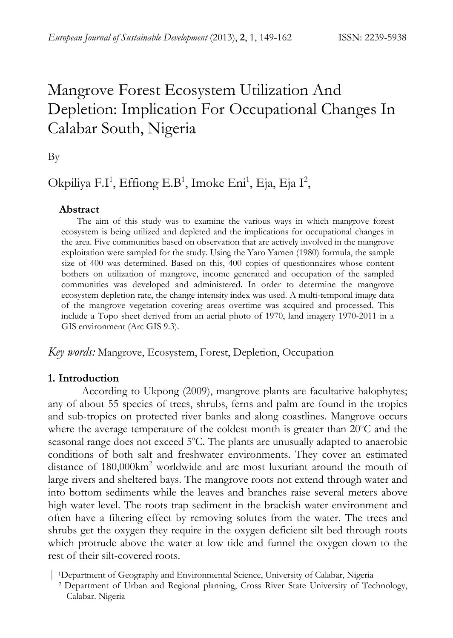# Mangrove Forest Ecosystem Utilization And Depletion: Implication For Occupational Changes In Calabar South, Nigeria

By

# Okpiliya F.I<sup>1</sup>, Effiong E.B<sup>1</sup>, Imoke Eni<sup>1</sup>, Eja, Eja I<sup>2</sup>,

#### **Abstract**

The aim of this study was to examine the various ways in which mangrove forest ecosystem is being utilized and depleted and the implications for occupational changes in the area. Five communities based on observation that are actively involved in the mangrove exploitation were sampled for the study. Using the Yaro Yamen (1980) formula, the sample size of 400 was determined. Based on this, 400 copies of questionnaires whose content bothers on utilization of mangrove, income generated and occupation of the sampled communities was developed and administered. In order to determine the mangrove ecosystem depletion rate, the change intensity index was used. A multi-temporal image data of the mangrove vegetation covering areas overtime was acquired and processed. This include a Topo sheet derived from an aerial photo of 1970, land imagery 1970-2011 in a GIS environment (Arc GIS 9.3).

*Key words:* Mangrove, Ecosystem, Forest, Depletion, Occupation

#### **1. Introduction**

 According to Ukpong (2009), mangrove plants are facultative halophytes; any of about 55 species of trees, shrubs, ferns and palm are found in the tropics and sub-tropics on protected river banks and along coastlines. Mangrove occurs where the average temperature of the coldest month is greater than 20°C and the seasonal range does not exceed 5°C. The plants are unusually adapted to anaerobic conditions of both salt and freshwater environments. They cover an estimated distance of 180,000km<sup>2</sup> worldwide and are most luxuriant around the mouth of large rivers and sheltered bays. The mangrove roots not extend through water and into bottom sediments while the leaves and branches raise several meters above high water level. The roots trap sediment in the brackish water environment and often have a filtering effect by removing solutes from the water. The trees and shrubs get the oxygen they require in the oxygen deficient silt bed through roots which protrude above the water at low tide and funnel the oxygen down to the rest of their silt-covered roots.

<sup>|</sup>1Department of Geography and Environmental Science, University of Calabar, Nigeria 2 Department of Urban and Regional planning, Cross River State University of Technology, Calabar. Nigeria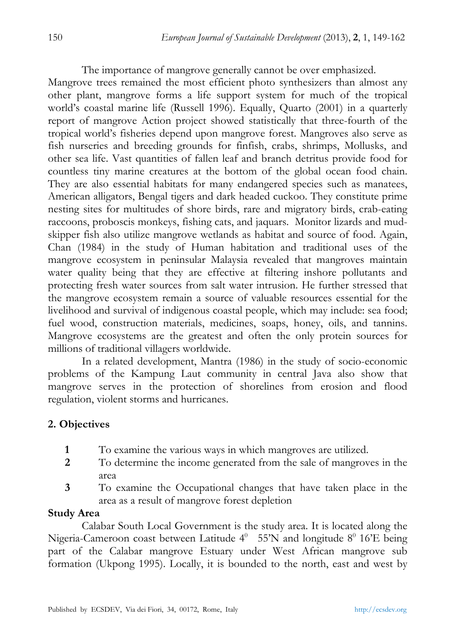The importance of mangrove generally cannot be over emphasized.

Mangrove trees remained the most efficient photo synthesizers than almost any other plant, mangrove forms a life support system for much of the tropical world's coastal marine life (Russell 1996). Equally, Quarto (2001) in a quarterly report of mangrove Action project showed statistically that three-fourth of the tropical world's fisheries depend upon mangrove forest. Mangroves also serve as fish nurseries and breeding grounds for finfish, crabs, shrimps, Mollusks, and other sea life. Vast quantities of fallen leaf and branch detritus provide food for countless tiny marine creatures at the bottom of the global ocean food chain. They are also essential habitats for many endangered species such as manatees, American alligators, Bengal tigers and dark headed cuckoo. They constitute prime nesting sites for multitudes of shore birds, rare and migratory birds, crab-eating raccoons, proboscis monkeys, fishing cats, and jaquars. Monitor lizards and mudskipper fish also utilize mangrove wetlands as habitat and source of food. Again, Chan (1984) in the study of Human habitation and traditional uses of the mangrove ecosystem in peninsular Malaysia revealed that mangroves maintain water quality being that they are effective at filtering inshore pollutants and protecting fresh water sources from salt water intrusion. He further stressed that the mangrove ecosystem remain a source of valuable resources essential for the livelihood and survival of indigenous coastal people, which may include: sea food; fuel wood, construction materials, medicines, soaps, honey, oils, and tannins. Mangrove ecosystems are the greatest and often the only protein sources for millions of traditional villagers worldwide.

In a related development, Mantra (1986) in the study of socio-economic problems of the Kampung Laut community in central Java also show that mangrove serves in the protection of shorelines from erosion and flood regulation, violent storms and hurricanes.

# **2. Objectives**

- **1** To examine the various ways in which mangroves are utilized.
- **2** To determine the income generated from the sale of mangroves in the area
- **3** To examine the Occupational changes that have taken place in the area as a result of mangrove forest depletion

### **Study Area**

 Calabar South Local Government is the study area. It is located along the Nigeria-Cameroon coast between Latitude  $4^0$  55'N and longitude  $8^0$  16'E being part of the Calabar mangrove Estuary under West African mangrove sub formation (Ukpong 1995). Locally, it is bounded to the north, east and west by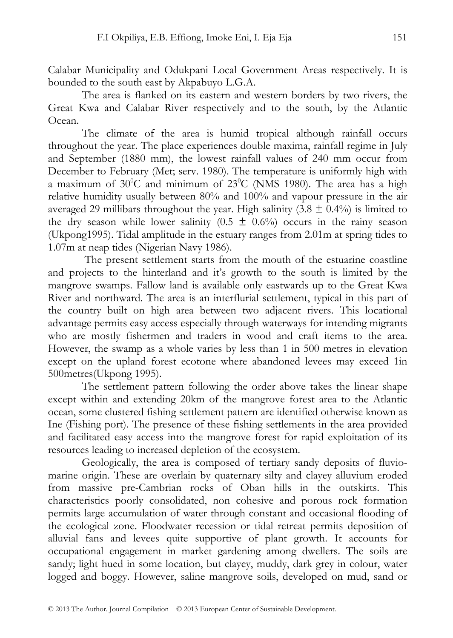Calabar Municipality and Odukpani Local Government Areas respectively. It is bounded to the south east by Akpabuyo L.G.A.

The area is flanked on its eastern and western borders by two rivers, the Great Kwa and Calabar River respectively and to the south, by the Atlantic Ocean.

The climate of the area is humid tropical although rainfall occurs throughout the year. The place experiences double maxima, rainfall regime in July and September (1880 mm), the lowest rainfall values of 240 mm occur from December to February (Met; serv. 1980). The temperature is uniformly high with a maximum of  $30^{\circ}$ C and minimum of  $23^{\circ}$ C (NMS 1980). The area has a high relative humidity usually between 80% and 100% and vapour pressure in the air averaged 29 millibars throughout the year. High salinity  $(3.8 \pm 0.4\%)$  is limited to the dry season while lower salinity  $(0.5 \pm 0.6\%)$  occurs in the rainy season (Ukpong1995). Tidal amplitude in the estuary ranges from 2.01m at spring tides to 1.07m at neap tides (Nigerian Navy 1986).

 The present settlement starts from the mouth of the estuarine coastline and projects to the hinterland and it's growth to the south is limited by the mangrove swamps. Fallow land is available only eastwards up to the Great Kwa River and northward. The area is an interflurial settlement, typical in this part of the country built on high area between two adjacent rivers. This locational advantage permits easy access especially through waterways for intending migrants who are mostly fishermen and traders in wood and craft items to the area. However, the swamp as a whole varies by less than 1 in 500 metres in elevation except on the upland forest ecotone where abandoned levees may exceed 1in 500metres(Ukpong 1995).

The settlement pattern following the order above takes the linear shape except within and extending 20km of the mangrove forest area to the Atlantic ocean, some clustered fishing settlement pattern are identified otherwise known as Ine (Fishing port). The presence of these fishing settlements in the area provided and facilitated easy access into the mangrove forest for rapid exploitation of its resources leading to increased depletion of the ecosystem.

 Geologically, the area is composed of tertiary sandy deposits of fluviomarine origin. These are overlain by quaternary silty and clayey alluvium eroded from massive pre-Cambrian rocks of Oban hills in the outskirts. This characteristics poorly consolidated, non cohesive and porous rock formation permits large accumulation of water through constant and occasional flooding of the ecological zone. Floodwater recession or tidal retreat permits deposition of alluvial fans and levees quite supportive of plant growth. It accounts for occupational engagement in market gardening among dwellers. The soils are sandy; light hued in some location, but clayey, muddy, dark grey in colour, water logged and boggy. However, saline mangrove soils, developed on mud, sand or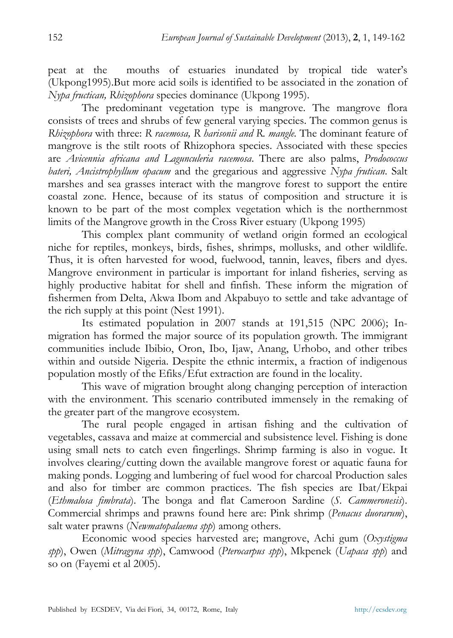peat at the mouths of estuaries inundated by tropical tide water's (Ukpong1995).But more acid soils is identified to be associated in the zonation of *Nypa fructican, Rhizophora* species dominance (Ukpong 1995).

 The predominant vegetation type is mangrove. The mangrove flora consists of trees and shrubs of few general varying species. The common genus is *Rhizophora* with three: *R racemosa, R harisonii and R. mangle.* The dominant feature of mangrove is the stilt roots of Rhizophora species. Associated with these species are *Avicennia africana and Lagunculeria racemosa*. There are also palms, *Prodococcus bateri, Ancistrophyllum opacum* and the gregarious and aggressive *Nypa frutican*. Salt marshes and sea grasses interact with the mangrove forest to support the entire coastal zone. Hence, because of its status of composition and structure it is known to be part of the most complex vegetation which is the northernmost limits of the Mangrove growth in the Cross River estuary (Ukpong 1995)

 This complex plant community of wetland origin formed an ecological niche for reptiles, monkeys, birds, fishes, shrimps, mollusks, and other wildlife. Thus, it is often harvested for wood, fuelwood, tannin, leaves, fibers and dyes. Mangrove environment in particular is important for inland fisheries, serving as highly productive habitat for shell and finfish. These inform the migration of fishermen from Delta, Akwa Ibom and Akpabuyo to settle and take advantage of the rich supply at this point (Nest 1991).

 Its estimated population in 2007 stands at 191,515 (NPC 2006); Inmigration has formed the major source of its population growth. The immigrant communities include Ibibio, Oron, Ibo, Ijaw, Anang, Urhobo, and other tribes within and outside Nigeria. Despite the ethnic intermix, a fraction of indigenous population mostly of the Efiks/Efut extraction are found in the locality.

 This wave of migration brought along changing perception of interaction with the environment. This scenario contributed immensely in the remaking of the greater part of the mangrove ecosystem.

 The rural people engaged in artisan fishing and the cultivation of vegetables, cassava and maize at commercial and subsistence level. Fishing is done using small nets to catch even fingerlings. Shrimp farming is also in vogue. It involves clearing/cutting down the available mangrove forest or aquatic fauna for making ponds. Logging and lumbering of fuel wood for charcoal Production sales and also for timber are common practices. The fish species are Ibat/Ekpai (*Ethmalosa fimbrata*). The bonga and flat Cameroon Sardine (*S. Cammeronesis*). Commercial shrimps and prawns found here are: Pink shrimp (*Penacus duorarum*), salt water prawns (*Newmatopalaema spp*) among others.

 Economic wood species harvested are; mangrove, Achi gum (*Oxystigma spp*), Owen (*Mitragyna spp*), Camwood (*Pterocarpus spp*), Mkpenek (*Uapaca spp*) and so on (Fayemi et al 2005).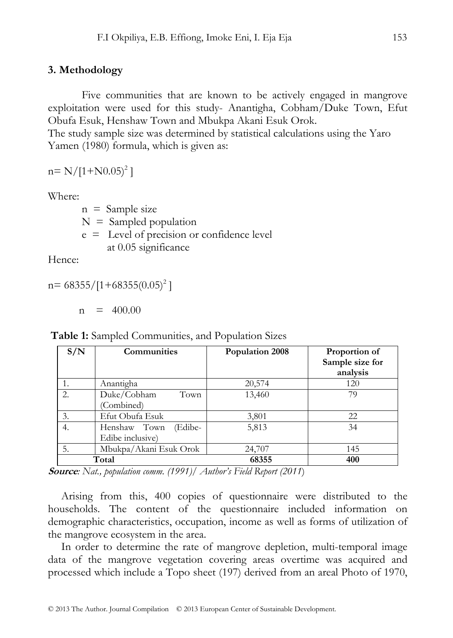#### **3. Methodology**

Five communities that are known to be actively engaged in mangrove exploitation were used for this study- Anantigha, Cobham/Duke Town, Efut Obufa Esuk, Henshaw Town and Mbukpa Akani Esuk Orok.

The study sample size was determined by statistical calculations using the Yaro Yamen (1980) formula, which is given as:

 $n = N/[1+N0.05)^{2}]$ 

Where:

 $n =$  Sample size

 $N =$  Sampled population

 e = Level of precision or confidence level at 0.05 significance

Hence:

 $n= 68355/[1+68355(0.05)^2]$ 

 $n = 400.00$ 

 **Table 1:** Sampled Communities, and Population Sizes

| S/N | <b>Communities</b>                          | Population 2008 | Proportion of<br>Sample size for<br>analysis |
|-----|---------------------------------------------|-----------------|----------------------------------------------|
|     | Anantigha                                   | 20,574          | 120                                          |
| 2.  | Duke/Cobham<br>Town<br>(Combined)           | 13,460          | 79                                           |
| 3.  | Efut Obufa Esuk                             | 3,801           | 22                                           |
| 4.  | Henshaw Town<br>(Edibe-<br>Edibe inclusive) | 5,813           | 34                                           |
| 5.  | Mbukpa/Akani Esuk Orok                      | 24,707          | 145                                          |
|     | Total                                       | 68355           | 400                                          |

**Source***: Nat., population comm. (1991)/ Author's Field Report (2011*)

Arising from this, 400 copies of questionnaire were distributed to the households. The content of the questionnaire included information on demographic characteristics, occupation, income as well as forms of utilization of the mangrove ecosystem in the area.

In order to determine the rate of mangrove depletion, multi-temporal image data of the mangrove vegetation covering areas overtime was acquired and processed which include a Topo sheet (197) derived from an areal Photo of 1970,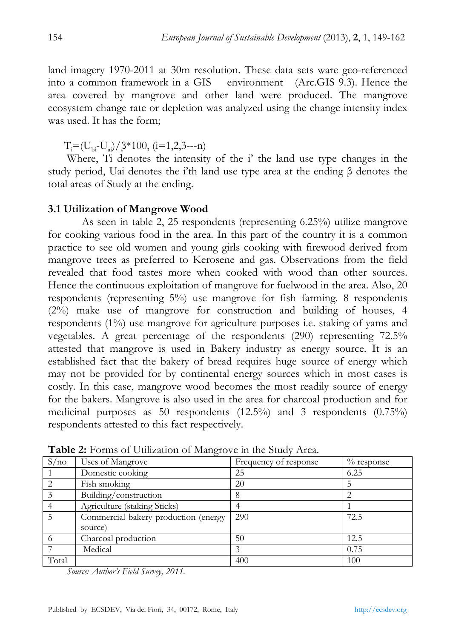land imagery 1970-2011 at 30m resolution. These data sets ware geo-referenced into a common framework in a GIS environment (Arc.GIS 9.3). Hence the area covered by mangrove and other land were produced. The mangrove ecosystem change rate or depletion was analyzed using the change intensity index was used. It has the form;

 $T_i = (U_{bi} - U_{ai})/β*100, (i=1,2,3---n)$ 

 Where, Ti denotes the intensity of the i' the land use type changes in the study period, Uai denotes the i'th land use type area at the ending β denotes the total areas of Study at the ending.

#### **3.1 Utilization of Mangrove Wood**

 As seen in table 2, 25 respondents (representing 6.25%) utilize mangrove for cooking various food in the area. In this part of the country it is a common practice to see old women and young girls cooking with firewood derived from mangrove trees as preferred to Kerosene and gas. Observations from the field revealed that food tastes more when cooked with wood than other sources. Hence the continuous exploitation of mangrove for fuelwood in the area. Also, 20 respondents (representing 5%) use mangrove for fish farming. 8 respondents (2%) make use of mangrove for construction and building of houses, 4 respondents (1%) use mangrove for agriculture purposes i.e. staking of yams and vegetables. A great percentage of the respondents (290) representing 72.5% attested that mangrove is used in Bakery industry as energy source. It is an established fact that the bakery of bread requires huge source of energy which may not be provided for by continental energy sources which in most cases is costly. In this case, mangrove wood becomes the most readily source of energy for the bakers. Mangrove is also used in the area for charcoal production and for medicinal purposes as 50 respondents (12.5%) and 3 respondents (0.75%) respondents attested to this fact respectively.

| S/no  | Uses of Mangrove                     | Frequency of response | $\%$ response |
|-------|--------------------------------------|-----------------------|---------------|
|       | Domestic cooking                     | 25                    | 6.25          |
|       | Fish smoking                         | 20                    |               |
|       | Building/construction                |                       |               |
|       | Agriculture (staking Sticks)         |                       |               |
|       | Commercial bakery production (energy | 290                   | 72.5          |
|       | source)                              |                       |               |
|       | Charcoal production                  | 50                    | 12.5          |
|       | Medical                              |                       | 0.75          |
| Total |                                      | 400                   | 100           |

**Table 2:** Forms of Utilization of Mangrove in the Study Area.

*Source: Author's Field Survey, 2011.*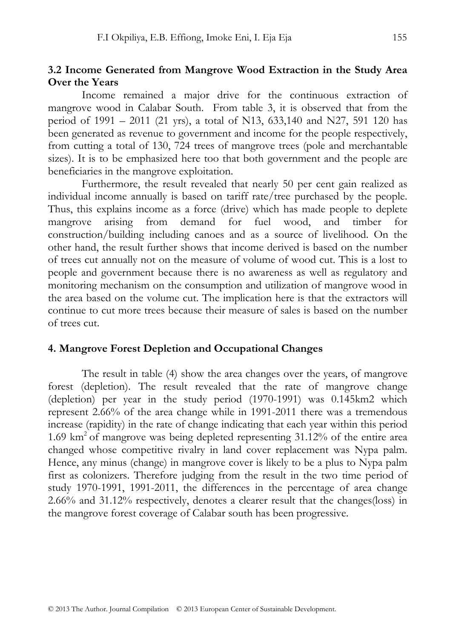#### **3.2 Income Generated from Mangrove Wood Extraction in the Study Area Over the Years**

Income remained a major drive for the continuous extraction of mangrove wood in Calabar South. From table 3, it is observed that from the period of 1991 – 2011 (21 yrs), a total of N13, 633,140 and N27, 591 120 has been generated as revenue to government and income for the people respectively, from cutting a total of 130, 724 trees of mangrove trees (pole and merchantable sizes). It is to be emphasized here too that both government and the people are beneficiaries in the mangrove exploitation.

 Furthermore, the result revealed that nearly 50 per cent gain realized as individual income annually is based on tariff rate/tree purchased by the people. Thus, this explains income as a force (drive) which has made people to deplete mangrove arising from demand for fuel wood, and timber for construction/building including canoes and as a source of livelihood. On the other hand, the result further shows that income derived is based on the number of trees cut annually not on the measure of volume of wood cut. This is a lost to people and government because there is no awareness as well as regulatory and monitoring mechanism on the consumption and utilization of mangrove wood in the area based on the volume cut. The implication here is that the extractors will continue to cut more trees because their measure of sales is based on the number of trees cut.

#### **4. Mangrove Forest Depletion and Occupational Changes**

The result in table (4) show the area changes over the years, of mangrove forest (depletion). The result revealed that the rate of mangrove change (depletion) per year in the study period (1970-1991) was 0.145km2 which represent 2.66% of the area change while in 1991-2011 there was a tremendous increase (rapidity) in the rate of change indicating that each year within this period 1.69 km<sup>2</sup> of mangrove was being depleted representing  $31.12\%$  of the entire area changed whose competitive rivalry in land cover replacement was Nypa palm. Hence, any minus (change) in mangrove cover is likely to be a plus to Nypa palm first as colonizers. Therefore judging from the result in the two time period of study 1970-1991, 1991-2011, the differences in the percentage of area change 2.66% and 31.12% respectively, denotes a clearer result that the changes(loss) in the mangrove forest coverage of Calabar south has been progressive.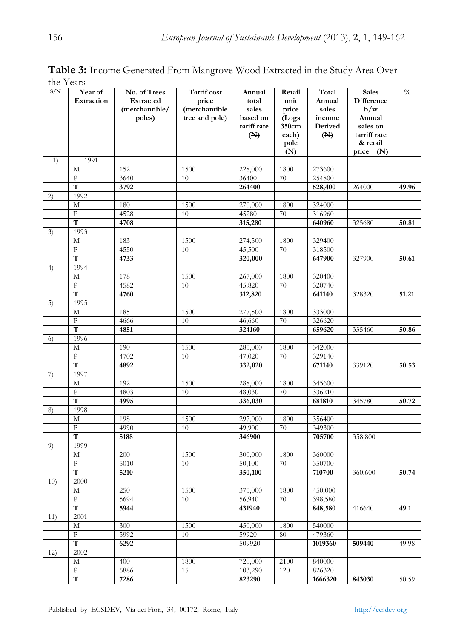| S/N | Year of               | No. of Trees   | Tarrif cost    | Annual            | Retail     | Total              | <b>Sales</b> | $\frac{0}{0}$ |
|-----|-----------------------|----------------|----------------|-------------------|------------|--------------------|--------------|---------------|
|     | Extraction            | Extracted      | price          | total             | unit       | Annual             | Difference   |               |
|     |                       | (merchantible/ | (merchantible  | sales             | price      | sales              | b/w          |               |
|     |                       | poles)         | tree and pole) | based on          | (Logs      | income             | Annual       |               |
|     |                       |                |                | tariff rate       | 350cm      | Derived            | sales on     |               |
|     |                       |                |                | (N)               | each)      | (N)                | tarriff rate |               |
|     |                       |                |                |                   | pole       |                    | & retail     |               |
| 1)  | 1991                  |                |                |                   | (M)        |                    | price $(N)$  |               |
|     | M                     | 152            | 1500           | 228,000           | 1800       | 273600             |              |               |
|     | P                     | 3640           | 10             | 36400             | 70         | 254800             |              |               |
|     | T                     | 3792           |                | 264400            |            | 528,400            | 264000       | 49.96         |
| 2)  | 1992                  |                |                |                   |            |                    |              |               |
|     | М                     | 180            | 1500           | 270,000           | 1800       | 324000             |              |               |
|     | $\mathbf{P}$          | 4528           | 10             | 45280             | 70         | 316960             |              |               |
|     | T                     | 4708           |                | 315,280           |            | 640960             | 325680       | 50.81         |
| 3)  | 1993                  |                |                |                   |            |                    |              |               |
|     | М                     | 183            | 1500           | 274,500           | 1800       | 329400             |              |               |
|     | P                     | 4550           | 10             | 45,500            | 70         | 318500             |              |               |
|     | T                     | 4733           |                | 320,000           |            | 647900             | 327900       | 50.61         |
| 4)  | 1994                  |                |                |                   |            |                    |              |               |
|     | M                     | 178            | 1500           | 267,000           | 1800       | 320400             |              |               |
|     | P                     | 4582           | 10             | 45,820            | 70         | 320740             |              |               |
|     | T<br>1995             | 4760           |                | 312,820           |            | 641140             | 328320       | 51.21         |
| 5)  |                       |                |                |                   |            |                    |              |               |
|     | M<br>$\mathbf{P}$     | 185            | 1500<br>10     | 277,500<br>46,660 | 1800<br>70 | 333000             |              |               |
|     | T                     | 4666<br>4851   |                | 324160            |            | 326620<br>659620   | 335460       | 50.86         |
| 6)  | 1996                  |                |                |                   |            |                    |              |               |
|     | М                     | 190            | 1500           | 285,000           | 1800       | 342000             |              |               |
|     | $\mathbf{P}$          | 4702           | 10             | 47,020            | 70         | 329140             |              |               |
|     | T                     | 4892           |                | 332,020           |            | 671140             | 339120       | 50.53         |
| 7)  | 1997                  |                |                |                   |            |                    |              |               |
|     | M                     | 192            | 1500           | 288,000           | 1800       | 345600             |              |               |
|     | $\mathbf{P}$          | 4803           | 10             | 48,030            | 70         | 336210             |              |               |
|     | T                     | 4995           |                | 336,030           |            | 681810             | 345780       | 50.72         |
| 8)  | 1998                  |                |                |                   |            |                    |              |               |
|     | М                     | 198            | 1500           | 297,000           | 1800       | 356400             |              |               |
|     | $\mathbf{P}$          | 4990           | 10             | 49,900            | 70         | 349300             |              |               |
|     | T                     | 5188           |                | 346900            |            | 705700             | 358,800      |               |
| 9)  | 1999                  |                |                |                   |            |                    |              |               |
|     | М                     | 200            | 1500           | 300,000           | 1800       | 360000             |              |               |
|     | $\mathbf{P}$          | 5010           | 10             | 50,100            | 70         | 350700             |              |               |
|     | T                     | 5210           |                | 350,100           |            | 710700             | 360,600      | 50.74         |
| 10) | 2000<br>M             | 250            | 1500           | 375,000           | 1800       | 450,000            |              |               |
|     | ${\bf p}$             | 5694           | 10             |                   | 70         |                    |              |               |
|     | $\overline{\text{T}}$ | 5944           |                | 56,940<br>431940  |            | 398,580<br>848,580 | 416640       | 49.1          |
| 11) | 2001                  |                |                |                   |            |                    |              |               |
|     | M                     | 300            | 1500           | 450,000           | 1800       | 540000             |              |               |
|     | $\mathbf{P}$          | 5992           | 10             | 59920             | 80         | 479360             |              |               |
|     | т                     | 6292           |                | 509920            |            | 1019360            | 509440       | 49.98         |
| 12) | 2002                  |                |                |                   |            |                    |              |               |
|     | М                     | 400            | 1800           | 720,000           | 2100       | 840000             |              |               |
|     | P                     | 6886           | 15             | 103,290           | 120        | 826320             |              |               |
|     | T                     | 7286           |                | 823290            |            | 1666320            | 843030       | 50.59         |

**Table 3:** Income Generated From Mangrove Wood Extracted in the Study Area Over the Years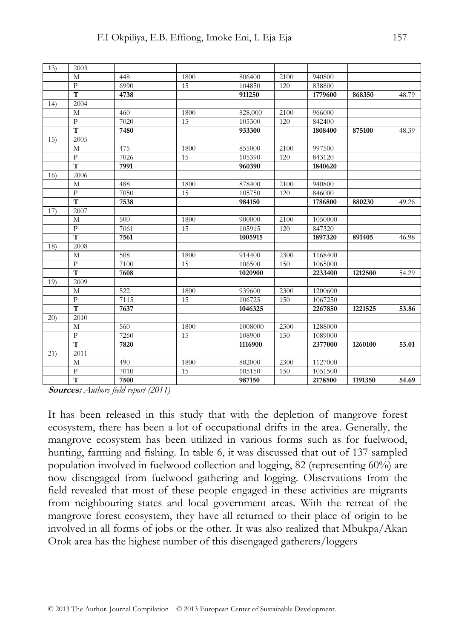| 13) | 2003                    |      |      |         |      |         |         |       |
|-----|-------------------------|------|------|---------|------|---------|---------|-------|
|     | M                       | 448  | 1800 | 806400  | 2100 | 940800  |         |       |
|     | $\mathbf{P}$            | 6990 | 15   | 104850  | 120  | 838800  |         |       |
|     | T                       | 4738 |      | 911250  |      | 1779600 | 868350  | 48.79 |
| 14) | 2004                    |      |      |         |      |         |         |       |
|     | M                       | 460  | 1800 | 828,000 | 2100 | 966000  |         |       |
|     | $\mathbf{P}$            | 7020 | 15   | 105300  | 120  | 842400  |         |       |
|     | $\overline{\mathsf{T}}$ | 7480 |      | 933300  |      | 1808400 | 875100  | 48.39 |
| 15) | 2005                    |      |      |         |      |         |         |       |
|     | M                       | 475  | 1800 | 855000  | 2100 | 997500  |         |       |
|     | $\overline{P}$          | 7026 | 15   | 105390  | 120  | 843120  |         |       |
|     | T                       | 7991 |      | 960390  |      | 1840620 |         |       |
| 16) | 2006                    |      |      |         |      |         |         |       |
|     | M                       | 488  | 1800 | 878400  | 2100 | 940800  |         |       |
|     | $\overline{P}$          | 7050 | 15   | 105750  | 120  | 846000  |         |       |
|     | $\overline{T}$          | 7538 |      | 984150  |      | 1786800 | 880230  | 49.26 |
| 17) | 2007                    |      |      |         |      |         |         |       |
|     | M                       | 500  | 1800 | 900000  | 2100 | 1050000 |         |       |
|     | $\mathbf{P}$            | 7061 | 15   | 105915  | 120  | 847320  |         |       |
|     | $\overline{\mathsf{T}}$ | 7561 |      | 1005915 |      | 1897320 | 891405  | 46.98 |
| 18) | 2008                    |      |      |         |      |         |         |       |
|     | M                       | 508  | 1800 | 914400  | 2300 | 1168400 |         |       |
|     | $\mathbf{P}$            | 7100 | 15   | 106500  | 150  | 1065000 |         |       |
|     | T                       | 7608 |      | 1020900 |      | 2233400 | 1212500 | 54.29 |
| 19) | 2009                    |      |      |         |      |         |         |       |
|     | M                       | 522  | 1800 | 939600  | 2300 | 1200600 |         |       |
|     | $\overline{P}$          | 7115 | 15   | 106725  | 150  | 1067250 |         |       |
|     | T                       | 7637 |      | 1046325 |      | 2267850 | 1221525 | 53.86 |
| 20) | 2010                    |      |      |         |      |         |         |       |
|     | M                       | 560  | 1800 | 1008000 | 2300 | 1288000 |         |       |
|     | $\mathbf{P}$            | 7260 | 15   | 108900  | 150  | 1089000 |         |       |
|     | $\overline{\mathsf{T}}$ | 7820 |      | 1116900 |      | 2377000 | 1260100 | 53.01 |
| 21) | 2011                    |      |      |         |      |         |         |       |
|     | M                       | 490  | 1800 | 882000  | 2300 | 1127000 |         |       |
|     | $\mathbf{p}$            | 7010 | 15   | 105150  | 150  | 1051500 |         |       |
|     | $\overline{\text{T}}$   | 7500 |      | 987150  |      | 2178500 | 1191350 | 54.69 |

**Sources:** *Authors field report (2011)*

It has been released in this study that with the depletion of mangrove forest ecosystem, there has been a lot of occupational drifts in the area. Generally, the mangrove ecosystem has been utilized in various forms such as for fuelwood, hunting, farming and fishing. In table 6, it was discussed that out of 137 sampled population involved in fuelwood collection and logging, 82 (representing 60%) are now disengaged from fuelwood gathering and logging. Observations from the field revealed that most of these people engaged in these activities are migrants from neighbouring states and local government areas. With the retreat of the mangrove forest ecosystem, they have all returned to their place of origin to be involved in all forms of jobs or the other. It was also realized that Mbukpa/Akan Orok area has the highest number of this disengaged gatherers/loggers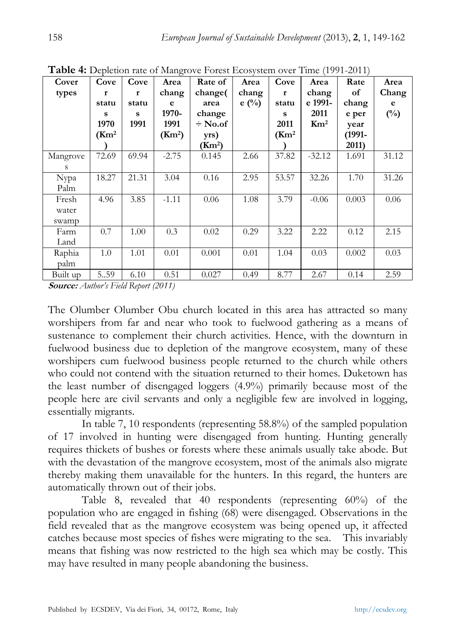|          | <b>I ADIC 4.</b> Depiction fate of manglove Polest Ecosystem over Thile (1991-2011) |       |                    |                    |                |                    |                 |        |        |
|----------|-------------------------------------------------------------------------------------|-------|--------------------|--------------------|----------------|--------------------|-----------------|--------|--------|
| Cover    | Cove                                                                                | Cove  | Area               | Rate of            | Area           | Cove               | Area            | Rate   | Area   |
| types    | r                                                                                   | r     | chang              | change(            | chang          | r                  | chang           | of     | Chang  |
|          | statu                                                                               | statu | e                  | area               | $e(^{0}/_{0})$ | statu              | e 1991-         | chang  | e      |
|          | s                                                                                   | s     | 1970-              | change             |                | s                  | 2011            | e per  | $(\%)$ |
|          | 1970                                                                                | 1991  | 1991               | $\div$ No.of       |                | 2011               | $\mathrm{Km}^2$ | year   |        |
|          | (Km <sup>2</sup> )                                                                  |       | (Km <sup>2</sup> ) | yrs)               |                | (Km <sup>2</sup> ) |                 | (1991- |        |
|          |                                                                                     |       |                    | (Km <sup>2</sup> ) |                |                    |                 | 2011)  |        |
| Mangrove | 72.69                                                                               | 69.94 | $-2.75$            | 0.145              | 2.66           | 37.82              | $-32.12$        | 1.691  | 31.12  |
| S        |                                                                                     |       |                    |                    |                |                    |                 |        |        |
| Nypa     | 18.27                                                                               | 21.31 | 3.04               | 0.16               | 2.95           | 53.57              | 32.26           | 1.70   | 31.26  |
| Palm     |                                                                                     |       |                    |                    |                |                    |                 |        |        |
| Fresh    | 4.96                                                                                | 3.85  | $-1.11$            | 0.06               | 1.08           | 3.79               | $-0.06$         | 0.003  | 0.06   |
| water    |                                                                                     |       |                    |                    |                |                    |                 |        |        |
| swamp    |                                                                                     |       |                    |                    |                |                    |                 |        |        |
| Farm     | 0.7                                                                                 | 1.00  | 0.3                | 0.02               | 0.29           | 3.22               | 2.22            | 0.12   | 2.15   |
| Land     |                                                                                     |       |                    |                    |                |                    |                 |        |        |
| Raphia   | 1.0                                                                                 | 1.01  | 0.01               | 0.001              | 0.01           | 1.04               | 0.03            | 0.002  | 0.03   |
| palm     |                                                                                     |       |                    |                    |                |                    |                 |        |        |
| Built up | 5.59                                                                                | 6.10  | 0.51               | 0.027              | 0.49           | 8.77               | 2.67            | 0.14   | 2.59   |

**Table 4:** Depletion rate of Mangrove Forest Ecosystem over Time (1991-2011)

**Source:** *Author's Field Report (2011)* 

The Olumber Olumber Obu church located in this area has attracted so many worshipers from far and near who took to fuelwood gathering as a means of sustenance to complement their church activities. Hence, with the downturn in fuelwood business due to depletion of the mangrove ecosystem, many of these worshipers cum fuelwood business people returned to the church while others who could not contend with the situation returned to their homes. Duketown has the least number of disengaged loggers (4.9%) primarily because most of the people here are civil servants and only a negligible few are involved in logging, essentially migrants.

In table 7, 10 respondents (representing 58.8%) of the sampled population of 17 involved in hunting were disengaged from hunting. Hunting generally requires thickets of bushes or forests where these animals usually take abode. But with the devastation of the mangrove ecosystem, most of the animals also migrate thereby making them unavailable for the hunters. In this regard, the hunters are automatically thrown out of their jobs.

Table 8, revealed that 40 respondents (representing 60%) of the population who are engaged in fishing (68) were disengaged. Observations in the field revealed that as the mangrove ecosystem was being opened up, it affected catches because most species of fishes were migrating to the sea. This invariably means that fishing was now restricted to the high sea which may be costly. This may have resulted in many people abandoning the business.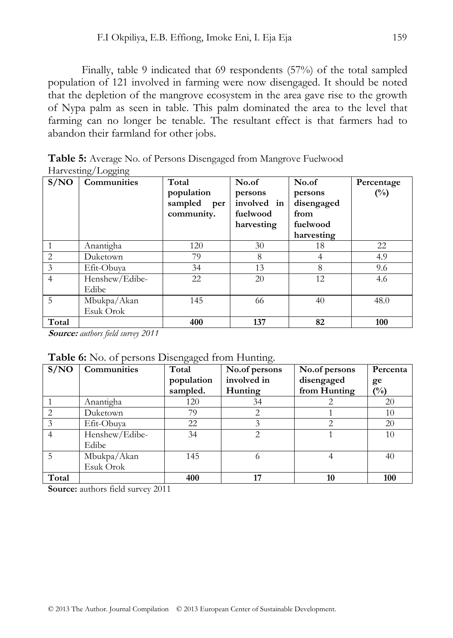Finally, table 9 indicated that 69 respondents (57%) of the total sampled population of 121 involved in farming were now disengaged. It should be noted that the depletion of the mangrove ecosystem in the area gave rise to the growth of Nypa palm as seen in table. This palm dominated the area to the level that farming can no longer be tenable. The resultant effect is that farmers had to abandon their farmland for other jobs.

**Table 5:** Average No. of Persons Disengaged from Mangrove Fuelwood Harvesting/Logging

| S/NO           | <b>Communities</b> | Total       | No.of       | No.of      | Percentage     |
|----------------|--------------------|-------------|-------------|------------|----------------|
|                |                    | population  | persons     | persons    | $\binom{0}{0}$ |
|                |                    | sampled per | involved in | disengaged |                |
|                |                    | community.  | fuelwood    | from       |                |
|                |                    |             | harvesting  | fuelwood   |                |
|                |                    |             |             | harvesting |                |
|                | Anantigha          | 120         | 30          | 18         | 22             |
| $\overline{c}$ | Duketown           | 79          | 8           | 4          | 4.9            |
| 3              | Efit-Obuya         | 34          | 13          | 8          | 9.6            |
| $\overline{4}$ | Henshew/Edibe-     | 22          | 20          | 12         | 4.6            |
|                | Edibe              |             |             |            |                |
| 5              | Mbukpa/Akan        | 145         | 66          | 40         | 48.0           |
|                | Esuk Orok          |             |             |            |                |
| Total          |                    | 400         | 137         | 82         | 100            |

**Source:** *authors field survey 2011* 

**Table 6:** No. of persons Disengaged from Hunting.

| S/NO  | <b>Communities</b> | .<br>Total | No.of persons | No.of persons | Percenta       |
|-------|--------------------|------------|---------------|---------------|----------------|
|       |                    | population | involved in   | disengaged    | ge             |
|       |                    | sampled.   | Hunting       | from Hunting  | $\binom{0}{0}$ |
|       | Anantigha          | 120        | 34            |               | 20             |
| 2     | Duketown           | 79         |               |               | 10             |
|       | Efit-Obuva         | 22         |               | 2             | 20             |
| 4     | Henshew/Edibe-     | 34         | 2             |               | 10             |
|       | Edibe              |            |               |               |                |
| 5     | Mbukpa/Akan        | 145        | 6             |               | 40             |
|       | Esuk Orok          |            |               |               |                |
| Total |                    | 400        | 17            | 10            | 100            |

**Source:** authors field survey 2011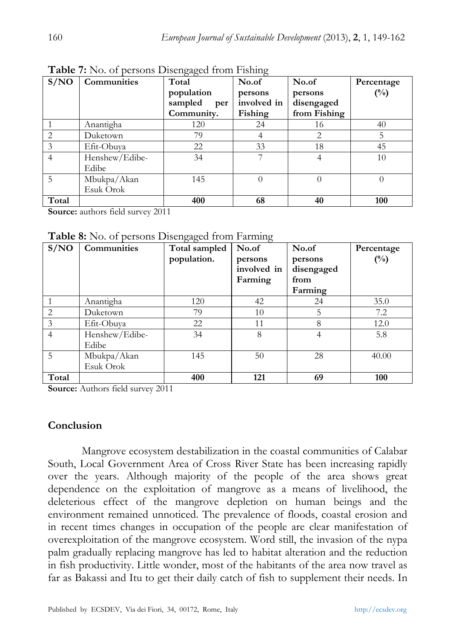| S/NO           | Communities    | Total          | No.of       | No.of        | Percentage |
|----------------|----------------|----------------|-------------|--------------|------------|
|                |                | population     | persons     | persons      | $(\%)$     |
|                |                | sampled<br>per | involved in | disengaged   |            |
|                |                | Community.     | Fishing     | from Fishing |            |
|                | Anantigha      | 120            | 24          | 16           | 40         |
| $\mathfrak{D}$ | Duketown       | 79             |             | 2            | 5          |
| 3              | Efit-Obuva     | 22             | 33          | 18           | 45         |
| 4              | Henshew/Edibe- | 34             |             |              | 10         |
|                | Edibe          |                |             |              |            |
| 5              | Mbukpa/Akan    | 145            | 0           |              | $\theta$   |
|                | Esuk Orok      |                |             |              |            |
| Total          |                | 400            | 68          | 40           | 100        |

**Table 7:** No. of persons Disengaged from Fishing

**Source:** authors field survey 2011

**Table 8:** No. of persons Disengaged from Farming

| S/NO           | <b>Communities</b> | Total sampled | No.of       | No.of      | Percentage     |
|----------------|--------------------|---------------|-------------|------------|----------------|
|                |                    | population.   | persons     | persons    | $\binom{0}{0}$ |
|                |                    |               | involved in | disengaged |                |
|                |                    |               | Farming     | from       |                |
|                |                    |               |             | Farming    |                |
|                | Anantigha          | 120           | 42          | 24         | 35.0           |
| $\mathfrak{D}$ | Duketown           | 79            | 10          | 5          | 7.2            |
| 3              | Efit-Obuva         | 22            | 11          | 8          | 12.0           |
| 4              | Henshew/Edibe-     | 34            | 8           | 4          | 5.8            |
|                | Edibe              |               |             |            |                |
| 5              | Mbukpa/Akan        | 145           | 50          | 28         | 40.00          |
|                | Esuk Orok          |               |             |            |                |
| Total          |                    | 400           | 121         | 69         | 100            |

**Source:** Authors field survey 2011

## **Conclusion**

Mangrove ecosystem destabilization in the coastal communities of Calabar South, Local Government Area of Cross River State has been increasing rapidly over the years. Although majority of the people of the area shows great dependence on the exploitation of mangrove as a means of livelihood, the deleterious effect of the mangrove depletion on human beings and the environment remained unnoticed. The prevalence of floods, coastal erosion and in recent times changes in occupation of the people are clear manifestation of overexploitation of the mangrove ecosystem. Word still, the invasion of the nypa palm gradually replacing mangrove has led to habitat alteration and the reduction in fish productivity. Little wonder, most of the habitants of the area now travel as far as Bakassi and Itu to get their daily catch of fish to supplement their needs. In